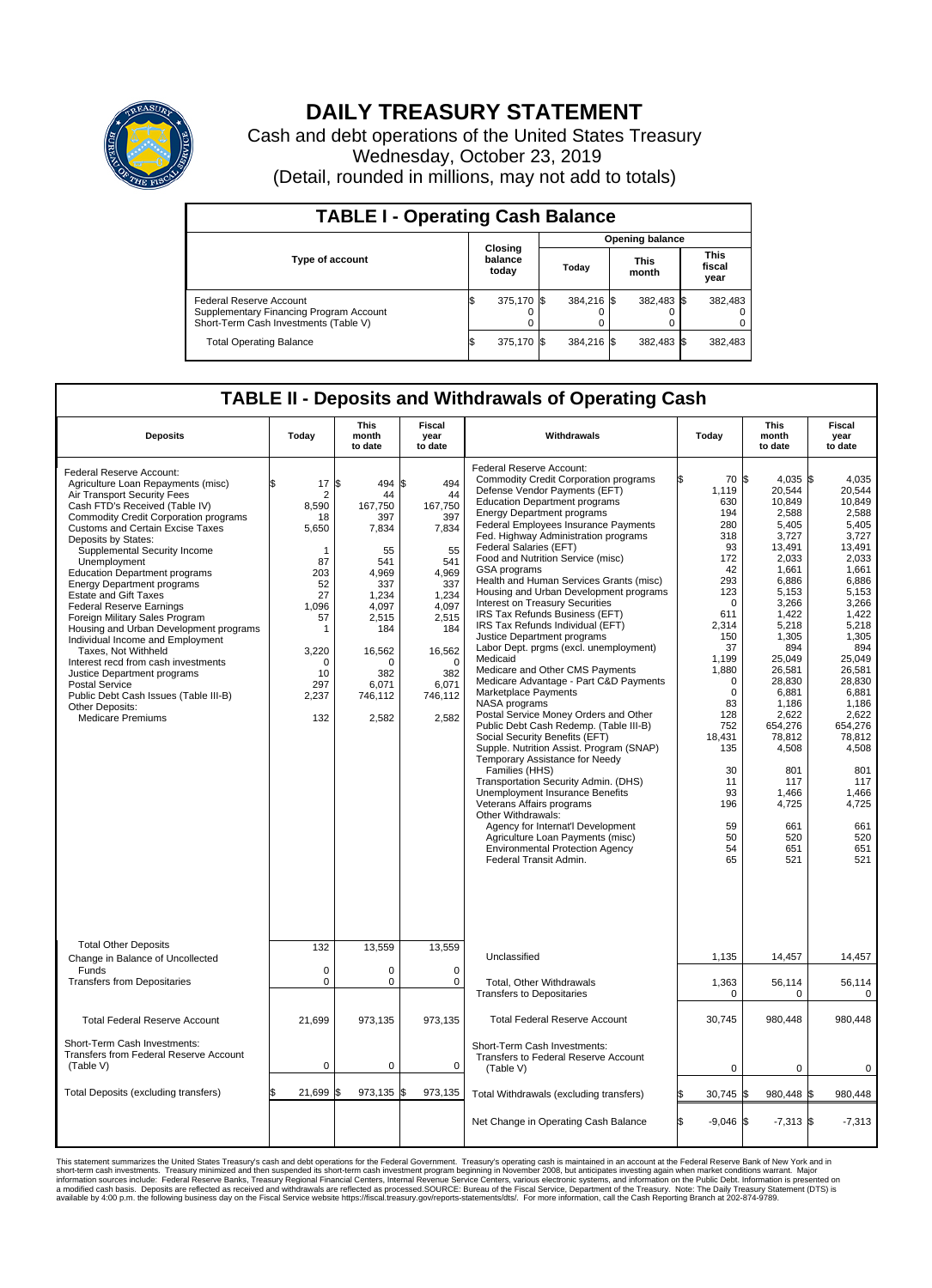

## **DAILY TREASURY STATEMENT**

Cash and debt operations of the United States Treasury Wednesday, October 23, 2019 (Detail, rounded in millions, may not add to totals)

| <b>TABLE I - Operating Cash Balance</b>                                                                     |                        |                             |       |            |                      |            |                               |         |  |  |
|-------------------------------------------------------------------------------------------------------------|------------------------|-----------------------------|-------|------------|----------------------|------------|-------------------------------|---------|--|--|
|                                                                                                             | <b>Opening balance</b> |                             |       |            |                      |            |                               |         |  |  |
| <b>Type of account</b>                                                                                      |                        | Closing<br>balance<br>today | Today |            | <b>This</b><br>month |            | <b>This</b><br>fiscal<br>year |         |  |  |
| Federal Reserve Account<br>Supplementary Financing Program Account<br>Short-Term Cash Investments (Table V) |                        | 375,170 \$                  |       | 384.216 \$ |                      | 382,483 \$ |                               | 382,483 |  |  |
| <b>Total Operating Balance</b>                                                                              | I\$                    | 375,170 \$                  |       | 384,216 \$ |                      | 382,483 \$ |                               | 382,483 |  |  |

## **TABLE II - Deposits and Withdrawals of Operating Cash**

| <b>Deposits</b>                                                                                                                                                                                                                                                                                                                                                                                                                                                                                                                                                                                                                                                                                                                                                                 | Today                                                                                                                                     | <b>This</b><br>month<br>to date                                                                                                                                  | <b>Fiscal</b><br>year<br>to date                                                                                                                              | Withdrawals                                                                                                                                                                                                                                                                                                                                                                                                                                                                                                                                                                                                                                                                                                                                                                                                                                                                                                                                                                                                                                                                                                                                                                                                                                                           |     | Today                                                                                                                                                                                                                                                         | <b>This</b><br>month<br>to date                                                                                                                                                                                                                                                                       | Fiscal<br>year<br>to date                                                                                                                                                                                                                                                                        |
|---------------------------------------------------------------------------------------------------------------------------------------------------------------------------------------------------------------------------------------------------------------------------------------------------------------------------------------------------------------------------------------------------------------------------------------------------------------------------------------------------------------------------------------------------------------------------------------------------------------------------------------------------------------------------------------------------------------------------------------------------------------------------------|-------------------------------------------------------------------------------------------------------------------------------------------|------------------------------------------------------------------------------------------------------------------------------------------------------------------|---------------------------------------------------------------------------------------------------------------------------------------------------------------|-----------------------------------------------------------------------------------------------------------------------------------------------------------------------------------------------------------------------------------------------------------------------------------------------------------------------------------------------------------------------------------------------------------------------------------------------------------------------------------------------------------------------------------------------------------------------------------------------------------------------------------------------------------------------------------------------------------------------------------------------------------------------------------------------------------------------------------------------------------------------------------------------------------------------------------------------------------------------------------------------------------------------------------------------------------------------------------------------------------------------------------------------------------------------------------------------------------------------------------------------------------------------|-----|---------------------------------------------------------------------------------------------------------------------------------------------------------------------------------------------------------------------------------------------------------------|-------------------------------------------------------------------------------------------------------------------------------------------------------------------------------------------------------------------------------------------------------------------------------------------------------|--------------------------------------------------------------------------------------------------------------------------------------------------------------------------------------------------------------------------------------------------------------------------------------------------|
| Federal Reserve Account:<br>Agriculture Loan Repayments (misc)<br>Air Transport Security Fees<br>Cash FTD's Received (Table IV)<br><b>Commodity Credit Corporation programs</b><br><b>Customs and Certain Excise Taxes</b><br>Deposits by States:<br>Supplemental Security Income<br>Unemployment<br><b>Education Department programs</b><br><b>Energy Department programs</b><br><b>Estate and Gift Taxes</b><br><b>Federal Reserve Earnings</b><br>Foreign Military Sales Program<br>Housing and Urban Development programs<br>Individual Income and Employment<br>Taxes. Not Withheld<br>Interest recd from cash investments<br>Justice Department programs<br><b>Postal Service</b><br>Public Debt Cash Issues (Table III-B)<br>Other Deposits:<br><b>Medicare Premiums</b> | 17<br>\$<br>2<br>8,590<br>18<br>5,650<br>1<br>87<br>203<br>52<br>27<br>1.096<br>57<br>1<br>3,220<br>$\Omega$<br>10<br>297<br>2,237<br>132 | l\$<br>494 \$<br>44<br>167,750<br>397<br>7,834<br>55<br>541<br>4.969<br>337<br>1,234<br>4,097<br>2.515<br>184<br>16,562<br>O<br>382<br>6,071<br>746,112<br>2,582 | 494<br>44<br>167,750<br>397<br>7,834<br>55<br>541<br>4.969<br>337<br>1,234<br>4,097<br>2,515<br>184<br>16,562<br>$\Omega$<br>382<br>6,071<br>746,112<br>2,582 | Federal Reserve Account:<br><b>Commodity Credit Corporation programs</b><br>Defense Vendor Payments (EFT)<br><b>Education Department programs</b><br><b>Energy Department programs</b><br><b>Federal Employees Insurance Payments</b><br>Fed. Highway Administration programs<br>Federal Salaries (EFT)<br>Food and Nutrition Service (misc)<br>GSA programs<br>Health and Human Services Grants (misc)<br>Housing and Urban Development programs<br>Interest on Treasury Securities<br>IRS Tax Refunds Business (EFT)<br>IRS Tax Refunds Individual (EFT)<br>Justice Department programs<br>Labor Dept. prgms (excl. unemployment)<br>Medicaid<br>Medicare and Other CMS Payments<br>Medicare Advantage - Part C&D Payments<br>Marketplace Payments<br>NASA programs<br>Postal Service Money Orders and Other<br>Public Debt Cash Redemp. (Table III-B)<br>Social Security Benefits (EFT)<br>Supple. Nutrition Assist. Program (SNAP)<br>Temporary Assistance for Needy<br>Families (HHS)<br>Transportation Security Admin. (DHS)<br>Unemployment Insurance Benefits<br>Veterans Affairs programs<br>Other Withdrawals:<br>Agency for Internat'l Development<br>Agriculture Loan Payments (misc)<br><b>Environmental Protection Agency</b><br>Federal Transit Admin. |     | 70 \$<br>1,119<br>630<br>194<br>280<br>318<br>93<br>172<br>42<br>293<br>123<br>$\mathbf 0$<br>611<br>2,314<br>150<br>37<br>1,199<br>1,880<br>$\mathbf 0$<br>$\mathbf 0$<br>83<br>128<br>752<br>18,431<br>135<br>30<br>11<br>93<br>196<br>59<br>50<br>54<br>65 | $4,035$ \$<br>20,544<br>10.849<br>2,588<br>5.405<br>3,727<br>13.491<br>2,033<br>1.661<br>6,886<br>5,153<br>3,266<br>1,422<br>5,218<br>1,305<br>894<br>25,049<br>26,581<br>28,830<br>6,881<br>1.186<br>2,622<br>654,276<br>78,812<br>4,508<br>801<br>117<br>1,466<br>4,725<br>661<br>520<br>651<br>521 | 4,035<br>20,544<br>10.849<br>2,588<br>5.405<br>3,727<br>13.491<br>2,033<br>1,661<br>6,886<br>5,153<br>3,266<br>1,422<br>5.218<br>1,305<br>894<br>25,049<br>26.581<br>28,830<br>6,881<br>1.186<br>2,622<br>654,276<br>78,812<br>4,508<br>801<br>117<br>1,466<br>4,725<br>661<br>520<br>651<br>521 |
| <b>Total Other Deposits</b><br>Change in Balance of Uncollected                                                                                                                                                                                                                                                                                                                                                                                                                                                                                                                                                                                                                                                                                                                 | 132                                                                                                                                       | 13,559                                                                                                                                                           | 13,559                                                                                                                                                        | Unclassified                                                                                                                                                                                                                                                                                                                                                                                                                                                                                                                                                                                                                                                                                                                                                                                                                                                                                                                                                                                                                                                                                                                                                                                                                                                          |     | 1,135                                                                                                                                                                                                                                                         | 14,457                                                                                                                                                                                                                                                                                                | 14,457                                                                                                                                                                                                                                                                                           |
| Funds<br><b>Transfers from Depositaries</b>                                                                                                                                                                                                                                                                                                                                                                                                                                                                                                                                                                                                                                                                                                                                     | $\mathbf 0$<br>0                                                                                                                          | 0<br>0                                                                                                                                                           | $\mathbf 0$<br>0                                                                                                                                              | Total, Other Withdrawals<br><b>Transfers to Depositaries</b>                                                                                                                                                                                                                                                                                                                                                                                                                                                                                                                                                                                                                                                                                                                                                                                                                                                                                                                                                                                                                                                                                                                                                                                                          |     | 1,363<br>$\pmb{0}$                                                                                                                                                                                                                                            | 56,114<br>$\mathbf 0$                                                                                                                                                                                                                                                                                 | 56,114<br>$\mathbf 0$                                                                                                                                                                                                                                                                            |
| <b>Total Federal Reserve Account</b>                                                                                                                                                                                                                                                                                                                                                                                                                                                                                                                                                                                                                                                                                                                                            | 21,699                                                                                                                                    | 973,135                                                                                                                                                          | 973,135                                                                                                                                                       | <b>Total Federal Reserve Account</b>                                                                                                                                                                                                                                                                                                                                                                                                                                                                                                                                                                                                                                                                                                                                                                                                                                                                                                                                                                                                                                                                                                                                                                                                                                  |     | 30,745                                                                                                                                                                                                                                                        | 980,448                                                                                                                                                                                                                                                                                               | 980,448                                                                                                                                                                                                                                                                                          |
| Short-Term Cash Investments:<br>Transfers from Federal Reserve Account<br>(Table V)                                                                                                                                                                                                                                                                                                                                                                                                                                                                                                                                                                                                                                                                                             | $\pmb{0}$                                                                                                                                 | 0                                                                                                                                                                | $\mathbf 0$                                                                                                                                                   | Short-Term Cash Investments:<br>Transfers to Federal Reserve Account<br>(Table V)                                                                                                                                                                                                                                                                                                                                                                                                                                                                                                                                                                                                                                                                                                                                                                                                                                                                                                                                                                                                                                                                                                                                                                                     |     | $\mathbf 0$                                                                                                                                                                                                                                                   | $\mathbf 0$                                                                                                                                                                                                                                                                                           | $\mathbf 0$                                                                                                                                                                                                                                                                                      |
| Total Deposits (excluding transfers)                                                                                                                                                                                                                                                                                                                                                                                                                                                                                                                                                                                                                                                                                                                                            | 21,699                                                                                                                                    | 973,135 \$<br>\$.                                                                                                                                                | 973,135                                                                                                                                                       | Total Withdrawals (excluding transfers)                                                                                                                                                                                                                                                                                                                                                                                                                                                                                                                                                                                                                                                                                                                                                                                                                                                                                                                                                                                                                                                                                                                                                                                                                               |     | 30,745 \$                                                                                                                                                                                                                                                     | 980.448 \$                                                                                                                                                                                                                                                                                            | 980.448                                                                                                                                                                                                                                                                                          |
|                                                                                                                                                                                                                                                                                                                                                                                                                                                                                                                                                                                                                                                                                                                                                                                 |                                                                                                                                           |                                                                                                                                                                  |                                                                                                                                                               | Net Change in Operating Cash Balance                                                                                                                                                                                                                                                                                                                                                                                                                                                                                                                                                                                                                                                                                                                                                                                                                                                                                                                                                                                                                                                                                                                                                                                                                                  | l\$ | $-9,046$ \$                                                                                                                                                                                                                                                   | $-7,313$ \$                                                                                                                                                                                                                                                                                           | $-7,313$                                                                                                                                                                                                                                                                                         |

This statement summarizes the United States Treasury's cash and debt operations for the Federal Government. Treasury soperating in November 2008, but anticiarded in a cocount at the Federal metaformation sources investment